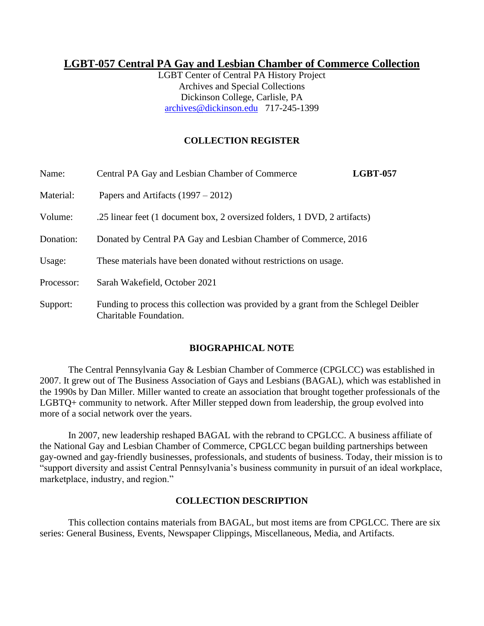# **LGBT-057 Central PA Gay and Lesbian Chamber of Commerce Collection**

LGBT Center of Central PA History Project Archives and Special Collections Dickinson College, Carlisle, PA [archives@dickinson.edu](mailto:archives@dickinson.edu) 717-245-1399

# **COLLECTION REGISTER**

| Name:      | Central PA Gay and Lesbian Chamber of Commerce                                                                 | <b>LGBT-057</b> |
|------------|----------------------------------------------------------------------------------------------------------------|-----------------|
| Material:  | Papers and Artifacts $(1997 - 2012)$                                                                           |                 |
| Volume:    | .25 linear feet (1 document box, 2 oversized folders, 1 DVD, 2 artifacts)                                      |                 |
| Donation:  | Donated by Central PA Gay and Lesbian Chamber of Commerce, 2016                                                |                 |
| Usage:     | These materials have been donated without restrictions on usage.                                               |                 |
| Processor: | Sarah Wakefield, October 2021                                                                                  |                 |
| Support:   | Funding to process this collection was provided by a grant from the Schlegel Deibler<br>Charitable Foundation. |                 |

#### **BIOGRAPHICAL NOTE**

The Central Pennsylvania Gay & Lesbian Chamber of Commerce (CPGLCC) was established in 2007. It grew out of The Business Association of Gays and Lesbians (BAGAL), which was established in the 1990s by Dan Miller. Miller wanted to create an association that brought together professionals of the LGBTQ+ community to network. After Miller stepped down from leadership, the group evolved into more of a social network over the years.

In 2007, new leadership reshaped BAGAL with the rebrand to CPGLCC. A business affiliate of the National Gay and Lesbian Chamber of Commerce, CPGLCC began building partnerships between gay-owned and gay-friendly businesses, professionals, and students of business. Today, their mission is to "support diversity and assist Central Pennsylvania's business community in pursuit of an ideal workplace, marketplace, industry, and region."

### **COLLECTION DESCRIPTION**

This collection contains materials from BAGAL, but most items are from CPGLCC. There are six series: General Business, Events, Newspaper Clippings, Miscellaneous, Media, and Artifacts.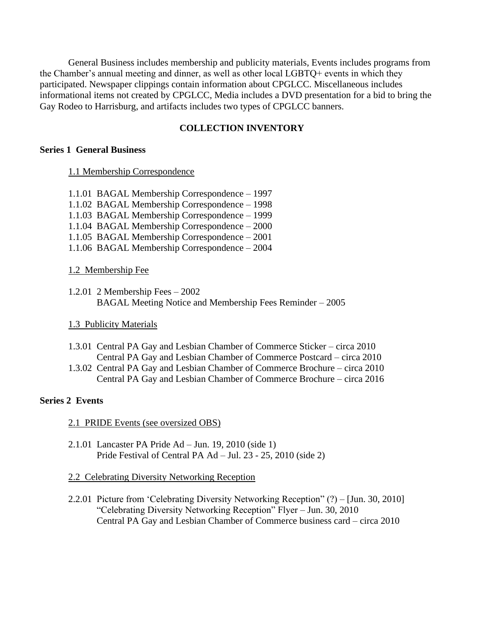General Business includes membership and publicity materials, Events includes programs from the Chamber's annual meeting and dinner, as well as other local LGBTQ+ events in which they participated. Newspaper clippings contain information about CPGLCC. Miscellaneous includes informational items not created by CPGLCC, Media includes a DVD presentation for a bid to bring the Gay Rodeo to Harrisburg, and artifacts includes two types of CPGLCC banners.

# **COLLECTION INVENTORY**

#### **Series 1 General Business**

#### 1.1 Membership Correspondence

- 1.1.01 BAGAL Membership Correspondence 1997
- 1.1.02 BAGAL Membership Correspondence 1998
- 1.1.03 BAGAL Membership Correspondence 1999
- 1.1.04 BAGAL Membership Correspondence 2000
- 1.1.05 BAGAL Membership Correspondence 2001
- 1.1.06 BAGAL Membership Correspondence 2004

#### 1.2 Membership Fee

1.2.01 2 Membership Fees – 2002 BAGAL Meeting Notice and Membership Fees Reminder – 2005

#### 1.3 Publicity Materials

- 1.3.01 Central PA Gay and Lesbian Chamber of Commerce Sticker circa 2010 Central PA Gay and Lesbian Chamber of Commerce Postcard – circa 2010
- 1.3.02 Central PA Gay and Lesbian Chamber of Commerce Brochure circa 2010 Central PA Gay and Lesbian Chamber of Commerce Brochure – circa 2016

# **Series 2 Events**

#### 2.1 PRIDE Events (see oversized OBS)

2.1.01 Lancaster PA Pride Ad – Jun. 19, 2010 (side 1) Pride Festival of Central PA Ad – Jul. 23 - 25, 2010 (side 2)

#### 2.2 Celebrating Diversity Networking Reception

2.2.01 Picture from 'Celebrating Diversity Networking Reception" (?) – [Jun. 30, 2010] "Celebrating Diversity Networking Reception" Flyer – Jun. 30, 2010 Central PA Gay and Lesbian Chamber of Commerce business card – circa 2010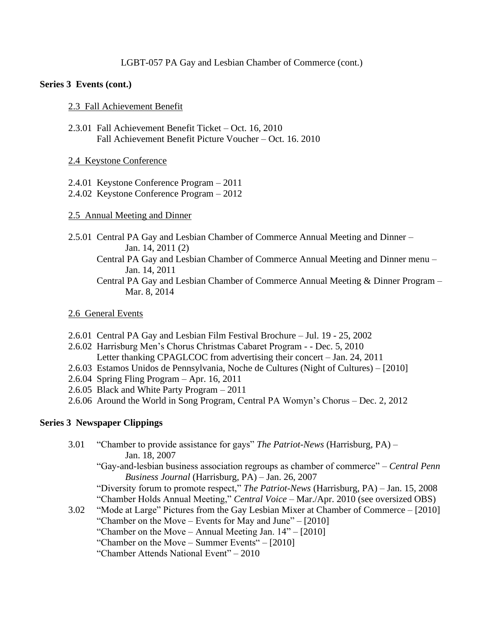### LGBT-057 PA Gay and Lesbian Chamber of Commerce (cont.)

### **Series 3 Events (cont.)**

#### 2.3 Fall Achievement Benefit

2.3.01 Fall Achievement Benefit Ticket – Oct. 16, 2010 Fall Achievement Benefit Picture Voucher – Oct. 16. 2010

### 2.4 Keystone Conference

- 2.4.01 Keystone Conference Program 2011
- 2.4.02 Keystone Conference Program 2012

### 2.5 Annual Meeting and Dinner

- 2.5.01 Central PA Gay and Lesbian Chamber of Commerce Annual Meeting and Dinner Jan. 14, 2011 (2)
	- Central PA Gay and Lesbian Chamber of Commerce Annual Meeting and Dinner menu Jan. 14, 2011
	- Central PA Gay and Lesbian Chamber of Commerce Annual Meeting & Dinner Program Mar. 8, 2014

### 2.6 General Events

- 2.6.01 Central PA Gay and Lesbian Film Festival Brochure Jul. 19 25, 2002
- 2.6.02 Harrisburg Men's Chorus Christmas Cabaret Program - Dec. 5, 2010 Letter thanking CPAGLCOC from advertising their concert – Jan. 24, 2011
- 2.6.03 Estamos Unidos de Pennsylvania, Noche de Cultures (Night of Cultures) [2010]
- 2.6.04 Spring Fling Program Apr. 16, 2011
- 2.6.05 Black and White Party Program 2011
- 2.6.06 Around the World in Song Program, Central PA Womyn's Chorus Dec. 2, 2012

# **Series 3 Newspaper Clippings**

- 3.01 "Chamber to provide assistance for gays" *The Patriot-News* (Harrisburg, PA) Jan. 18, 2007 "Gay-and-lesbian business association regroups as chamber of commerce" – *Central Penn Business Journal* (Harrisburg, PA) – Jan. 26, 2007 "Diversity forum to promote respect," *The Patriot-News* (Harrisburg, PA) – Jan. 15, 2008 "Chamber Holds Annual Meeting," *Central Voice* – Mar./Apr. 2010 (see oversized OBS) 3.02 "Mode at Large" Pictures from the Gay Lesbian Mixer at Chamber of Commerce – [2010] "Chamber on the Move – Events for May and June" –  $[2010]$ "Chamber on the Move – Annual Meeting Jan. 14" – [2010] "Chamber on the Move – Summer Events" – [2010]
	- "Chamber Attends National Event" 2010